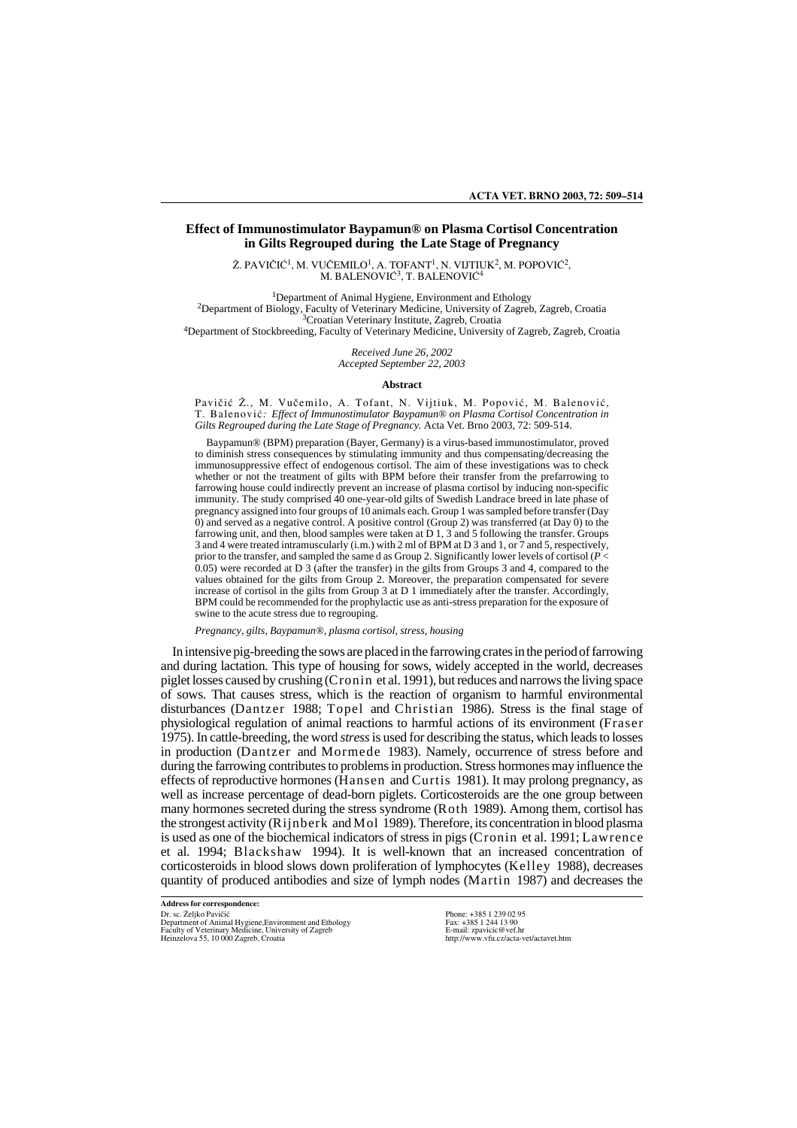# **Effect of Immunostimulator Baypamun® on Plasma Cortisol Concentration in Gilts Regrouped during the Late Stage of Pregnancy**

Ž. PAVIČIĆ $^1$ , M. VUČEMILO $^1$ , A. TOFANT $^1$ , N. VIJTIUK $^2$ , M. POPOVIĆ $^2$ , M. BALENOVI $\check{C}^3$ , T. BALENOVI $\check{C}^4$ 

<sup>1</sup>Department of Animal Hygiene, Environment and Ethology<br><sup>2</sup>Department of Biology, Faculty of Veterinary Medicine, University of Zagreb, Zagreb, Croatia<br><sup>3</sup>Croatian Veterinary Institute, Zagreb, Croatia<br><sup>4</sup>Department of S

*Received June 26, 2002 Accepted September 22, 2003*

#### **Abstract**

Pavičić Ž., M. Vučemilo, A. Tofant, N. Vijtiuk, M. Popović, M. Balenović, T. Balenoviç*: Effect of Immunostimulator Baypamun® on Plasma Cortisol Concentration in Gilts Regrouped during the Late Stage of Pregnancy.* Acta Vet. Brno 2003, 72: 509-514.

Baypamun® (BPM) preparation (Bayer, Germany) is a virus-based immunostimulator, proved to diminish stress consequences by stimulating immunity and thus compensating/decreasing the immunosuppressive effect of endogenous cortisol. The aim of these investigations was to check whether or not the treatment of gilts with BPM before their transfer from the prefarrowing to farrowing house could indirectly prevent an increase of plasma cortisol by inducing non-specific immunity. The study comprised 40 one-year-old gilts of Swedish Landrace breed in late phase of pregnancy assigned into four groups of 10 animals each. Group 1 was sampled before transfer (Day 0) and served as a negative control. A positive control (Group 2) was transferred (at Day 0) to the farrowing unit, and then, blood samples were taken at D 1, 3 and 5 following the transfer. Groups 3 and 4 were treated intramuscularly (i.m.) with 2 ml of BPM at D 3 and 1, or 7 and 5, respectively, prior to the transfer, and sampled the same d as Group 2. Significantly lower levels of cortisol (*P* < 0.05) were recorded at D 3 (after the transfer) in the gilts from Groups 3 and 4, compared to the values obtained for the gilts from Group 2. Moreover, the preparation compensated for severe increase of cortisol in the gilts from Group 3 at D 1 immediately after the transfer. Accordingly, BPM could be recommended for the prophylactic use as anti-stress preparation for the exposure of swine to the acute stress due to regrouping.

*Pregnancy, gilts, Baypamun®, plasma cortisol, stress, housing*

In intensive pig-breeding the sows are placed in the farrowing crates in the period of farrowing and during lactation. This type of housing for sows, widely accepted in the world, decreases piglet losses caused by crushing (Cronin et al. 1991), but reduces and narrows the living space of sows. That causes stress, which is the reaction of organism to harmful environmental disturbances (Dantzer 1988; Topel and Christian 1986). Stress is the final stage of physiological regulation of animal reactions to harmful actions of its environment (Fraser 1975). In cattle-breeding, the word *stress*is used for describing the status, which leads to losses in production (Dantzer and Mormede 1983). Namely, occurrence of stress before and during the farrowing contributes to problems in production. Stress hormones may influence the effects of reproductive hormones (Hansen and Curtis 1981). It may prolong pregnancy, as well as increase percentage of dead-born piglets. Corticosteroids are the one group between many hormones secreted during the stress syndrome (Roth 1989). Among them, cortisol has the strongest activity (Rijnberk and Mol 1989). Therefore, its concentration in blood plasma is used as one of the biochemical indicators of stress in pigs (Cronin et al. 1991; Lawrence et al. 1994; Blackshaw 1994). It is well-known that an increased concentration of corticosteroids in blood slows down proliferation of lymphocytes (Kelley 1988), decreases quantity of produced antibodies and size of lymph nodes (Martin 1987) and decreases the

**Address for correspondence:** Dr. sc. Željko Pavičić<br>Department of Animal Hygiene,Environment and Ethology<br>Faculty of Veterinary Medicine, University of Zagreb<br>Heinzelova 55, 10 000 Zagreb, Croatia

Phone: +385 1 239 02 95 Fax: +385 1 244 13 90 E-mail: zpavicic@vef.hr http://www.vfu.cz/acta-vet/actavet.htm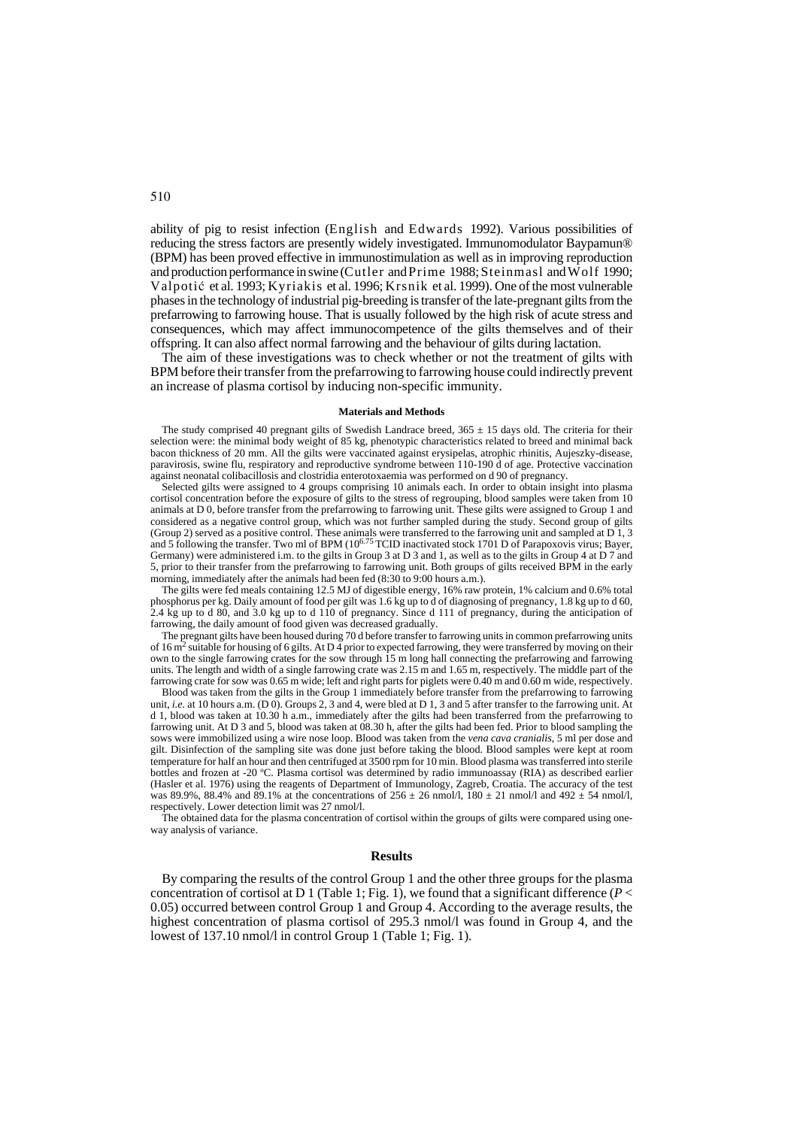ability of pig to resist infection (English and Edwards 1992). Various possibilities of reducing the stress factors are presently widely investigated. Immunomodulator Baypamun® (BPM) has been proved effective in immunostimulation as well as in improving reproduction and production performance in swine (Cutler and Prime 1988; Steinmasl and Wolf 1990; Valpotiç et al. 1993; Kyriakis et al. 1996; Krsnik et al. 1999). One of the most vulnerable phases in the technology of industrial pig-breeding is transfer of the late-pregnant gilts from the prefarrowing to farrowing house. That is usually followed by the high risk of acute stress and consequences, which may affect immunocompetence of the gilts themselves and of their offspring. It can also affect normal farrowing and the behaviour of gilts during lactation.

The aim of these investigations was to check whether or not the treatment of gilts with BPM before their transfer from the prefarrowing to farrowing house could indirectly prevent an increase of plasma cortisol by inducing non-specific immunity.

## **Materials and Methods**

The study comprised 40 pregnant gilts of Swedish Landrace breed, 365 ± 15 days old. The criteria for their selection were: the minimal body weight of 85 kg, phenotypic characteristics related to breed and minimal back bacon thickness of 20 mm. All the gilts were vaccinated against erysipelas, atrophic rhinitis, Aujeszky-disease, paravirosis, swine flu, respiratory and reproductive syndrome between 110-190 d of age. Protective vaccination against neonatal colibacillosis and clostridia enterotoxaemia was performed on d 90 of pregnancy.

Selected gilts were assigned to 4 groups comprising 10 animals each. In order to obtain insight into plasma cortisol concentration before the exposure of gilts to the stress of regrouping, blood samples were taken from 10 animals at D 0, before transfer from the prefarrowing to farrowing unit. These gilts were assigned to Group 1 and considered as a negative control group, which was not further sampled during the study. Second group of gilts (Group 2) served as a positive control. These animals were transferred to the farrowing unit and sampled at D 1, 3<br>and 5 following the transfer. Two ml of BPM (10<sup>6.75</sup> TCID inactivated stock 1701 D of Parapoxovis virus; B Germany) were administered i.m. to the gilts in Group 3 at D 3 and 1, as well as to the gilts in Group 4 at D 7 and 5, prior to their transfer from the prefarrowing to farrowing unit. Both groups of gilts received BPM in the early morning, immediately after the animals had been fed (8:30 to 9:00 hours a.m.).

The gilts were fed meals containing 12.5 MJ of digestible energy, 16% raw protein, 1% calcium and 0.6% total phosphorus per kg. Daily amount of food per gilt was 1.6 kg up to d of diagnosing of pregnancy, 1.8 kg up to d 60, 2.4 kg up to d 80, and 3.0 kg up to d 110 of pregnancy. Since d 111 of pregnancy, during the anticipation of farrowing, the daily amount of food given was decreased gradually.

The pregnant gilts have been housed during 70 d before transfer to farrowing units in common prefarrowing units of 16 m<sup>2</sup> suitable for housing of 6 gilts. At D  $\frac{3}{4}$  prior to expected farrowing, they were transferred by moving on their own to the single farrowing crates for the sow through 15 m long hall connecting the prefarrowing and farrowing units. The length and width of a single farrowing crate was 2.15 m and 1.65 m, respectively. The middle part of the farrowing crate for sow was 0.65 m wide; left and right parts for piglets were 0.40 m and 0.60 m wide, respectively.

Blood was taken from the gilts in the Group 1 immediately before transfer from the prefarrowing to farrowing unit, *i.e.* at 10 hours a.m. (D 0). Groups 2, 3 and 4, were bled at D 1, 3 and 5 after transfer to the farrowing unit. At d 1, blood was taken at 10.30 h a.m., immediately after the gilts had been transferred from the prefarrowing to farrowing unit. At D 3 and 5, blood was taken at 08.30 h, after the gilts had been fed. Prior to blood sampling the sows were immobilized using a wire nose loop. Blood was taken from the *vena cava cranialis*, 5 ml per dose and gilt. Disinfection of the sampling site was done just before taking the blood. Blood samples were kept at room temperature for half an hour and then centrifuged at 3500 rpm for 10 min. Blood plasma was transferred into sterile bottles and frozen at -20 ºC. Plasma cortisol was determined by radio immunoassay (RIA) as described earlier (Hasler et al. 1976) using the reagents of Department of Immunology, Zagreb, Croatia. The accuracy of the test was 89.9%, 88.4% and 89.1% at the concentrations of  $256 \pm 26$  nmol/l,  $180 \pm 21$  nmol/l and  $492 \pm 54$  nmol/l, respectively. Lower detection limit was 27 nmol/l.

The obtained data for the plasma concentration of cortisol within the groups of gilts were compared using oneway analysis of variance.

## **Results**

By comparing the results of the control Group 1 and the other three groups for the plasma concentration of cortisol at D 1 (Table 1; Fig. 1), we found that a significant difference ( $P <$ 0.05) occurred between control Group 1 and Group 4. According to the average results, the highest concentration of plasma cortisol of 295.3 nmol/l was found in Group 4, and the lowest of 137.10 nmol/l in control Group 1 (Table 1; Fig. 1).

510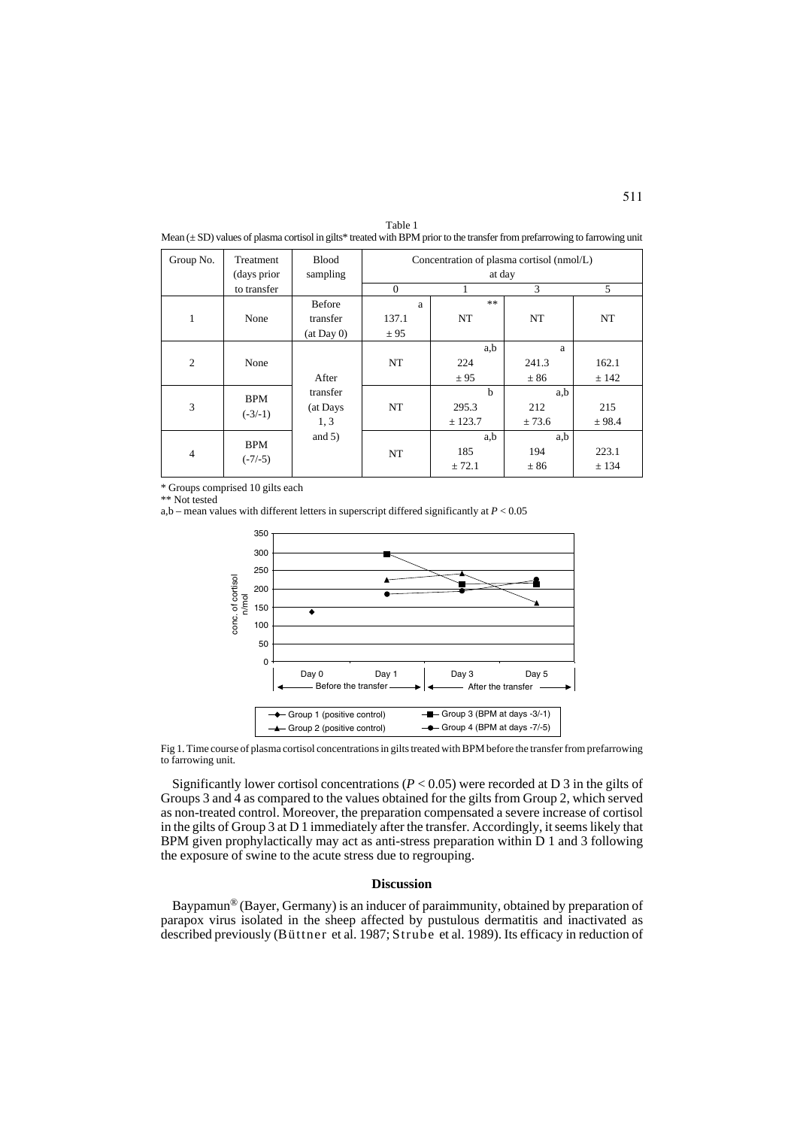| Group No.      | Treatment<br>(days prior | <b>Blood</b><br>sampling | Concentration of plasma cortisol (nmol/L)<br>at day |             |        |        |
|----------------|--------------------------|--------------------------|-----------------------------------------------------|-------------|--------|--------|
|                | to transfer              |                          | $\theta$                                            |             | 3      | 5      |
|                | None                     | <b>Before</b>            | a                                                   | **          |        |        |
| 1              |                          | transfer                 | 137.1                                               | NT          | NT     | NT     |
|                |                          | (at Day 0)               | ± 95                                                |             |        |        |
| $\overline{2}$ | None                     |                          |                                                     | a,b         | a      |        |
|                |                          |                          | NT                                                  | 224         | 241.3  | 162.1  |
|                |                          | After                    |                                                     | ± 95        | ± 86   | ± 142  |
| 3              | <b>BPM</b><br>$(-3/-1)$  | transfer                 |                                                     | $\mathbf b$ | a,b    |        |
|                |                          | (at Days                 | NT                                                  | 295.3       | 212    | 215    |
|                |                          | 1, 3                     |                                                     | ± 123.7     | ± 73.6 | ± 98.4 |
| $\overline{4}$ | <b>BPM</b><br>$(-7/-5)$  | and $5)$                 |                                                     | a,b         | a,b    |        |
|                |                          |                          | NT                                                  | 185         | 194    | 223.1  |
|                |                          |                          |                                                     | ± 72.1      | ± 86   | ± 134  |

Table 1 Mean  $(\pm SD)$  values of plasma cortisol in gilts\* treated with BPM prior to the transfer from prefarrowing to farrowing unit

\* Groups comprised 10 gilts each

\*\* Not tested

a,b – mean values with different letters in superscript differed significantly at  $P < 0.05$ 



Fig 1. Time course of plasma cortisol concentrations in gilts treated with BPM before the transfer from prefarrowing to farrowing unit.

Significantly lower cortisol concentrations (*P* < 0.05) were recorded at D 3 in the gilts of Groups 3 and 4 as compared to the values obtained for the gilts from Group 2, which served as non-treated control. Moreover, the preparation compensated a severe increase of cortisol in the gilts of Group 3 at D 1 immediately after the transfer. Accordingly, it seems likely that BPM given prophylactically may act as anti-stress preparation within D 1 and 3 following the exposure of swine to the acute stress due to regrouping.

# **Discussion**

Baypamun® (Bayer, Germany) is an inducer of paraimmunity, obtained by preparation of parapox virus isolated in the sheep affected by pustulous dermatitis and inactivated as described previously (Büttner et al. 1987; Strube et al. 1989). Its efficacy in reduction of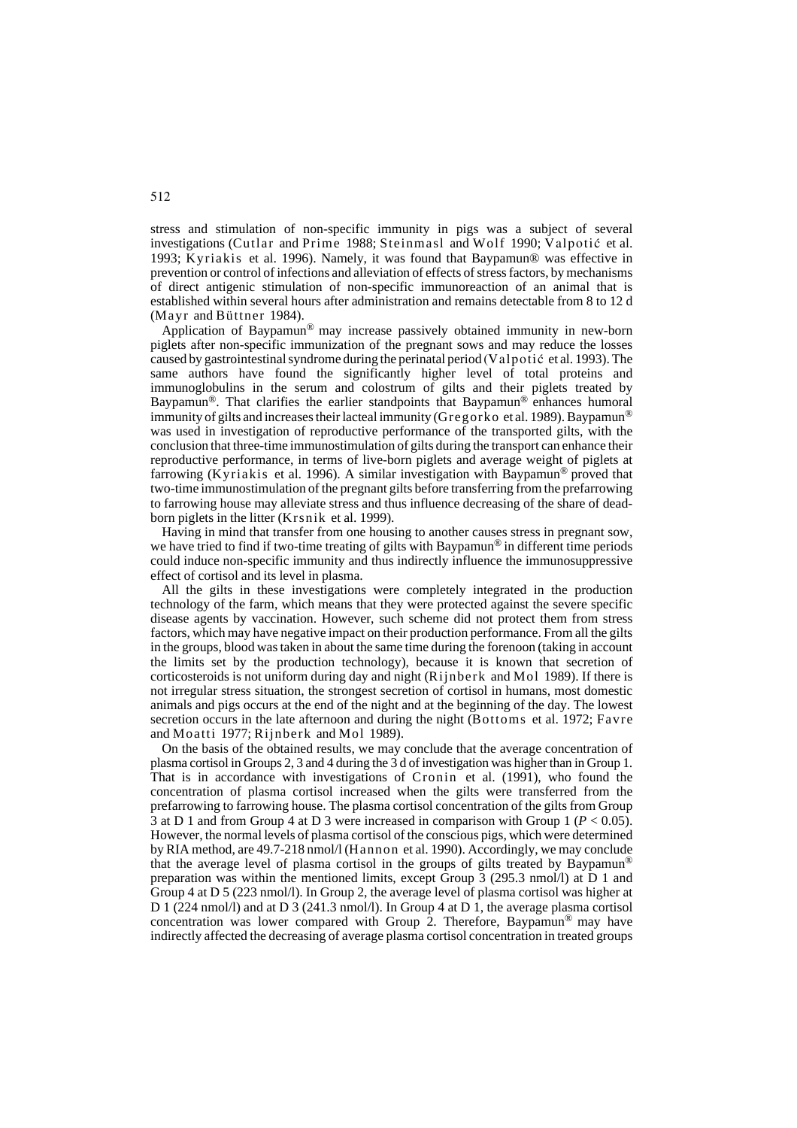stress and stimulation of non-specific immunity in pigs was a subject of several investigations (Cutlar and Prime 1988; Steinmasl and Wolf 1990; Valpotiç et al. 1993; Kyriakis et al. 1996). Namely, it was found that Baypamun® was effective in prevention or control of infections and alleviation of effects of stress factors, by mechanisms of direct antigenic stimulation of non-specific immunoreaction of an animal that is established within several hours after administration and remains detectable from 8 to 12 d (Mayr and Büttner 1984).

Application of Baypamun® may increase passively obtained immunity in new-born piglets after non-specific immunization of the pregnant sows and may reduce the losses caused by gastrointestinal syndrome during the perinatal period (Valpotiç et al. 1993). The same authors have found the significantly higher level of total proteins and immunoglobulins in the serum and colostrum of gilts and their piglets treated by Baypamun®. That clarifies the earlier standpoints that Baypamun® enhances humoral immunity of gilts and increases their lacteal immunity (Gregorko et al. 1989). Baypamun<sup>®</sup> was used in investigation of reproductive performance of the transported gilts, with the conclusion that three-time immunostimulation of gilts during the transport can enhance their reproductive performance, in terms of live-born piglets and average weight of piglets at farrowing (Kyriakis et al. 1996). A similar investigation with Baypamun® proved that two-time immunostimulation of the pregnant gilts before transferring from the prefarrowing to farrowing house may alleviate stress and thus influence decreasing of the share of deadborn piglets in the litter (Krsnik et al. 1999).

Having in mind that transfer from one housing to another causes stress in pregnant sow, we have tried to find if two-time treating of gilts with Baypamun® in different time periods could induce non-specific immunity and thus indirectly influence the immunosuppressive effect of cortisol and its level in plasma.

All the gilts in these investigations were completely integrated in the production technology of the farm, which means that they were protected against the severe specific disease agents by vaccination. However, such scheme did not protect them from stress factors, which may have negative impact on their production performance. From all the gilts in the groups, blood was taken in about the same time during the forenoon (taking in account the limits set by the production technology), because it is known that secretion of corticosteroids is not uniform during day and night (Rijnberk and Mol 1989). If there is not irregular stress situation, the strongest secretion of cortisol in humans, most domestic animals and pigs occurs at the end of the night and at the beginning of the day. The lowest secretion occurs in the late afternoon and during the night (Bottoms et al. 1972; Favre and Moatti 1977; Rijnberk and Mol 1989).

On the basis of the obtained results, we may conclude that the average concentration of plasma cortisol in Groups 2, 3 and 4 during the 3 d of investigation was higher than in Group 1. That is in accordance with investigations of Cronin et al. (1991), who found the concentration of plasma cortisol increased when the gilts were transferred from the prefarrowing to farrowing house. The plasma cortisol concentration of the gilts from Group  $\overline{3}$  at D 1 and from Group 4 at D 3 were increased in comparison with Group 1 ( $P < 0.05$ ). However, the normal levels of plasma cortisol of the conscious pigs, which were determined by RIA method, are 49.7-218 nmol/l (Hannon et al. 1990). Accordingly, we may conclude that the average level of plasma cortisol in the groups of gilts treated by Baypamun® preparation was within the mentioned limits, except Group 3 (295.3 nmol/l) at D 1 and Group 4 at D 5 (223 nmol/l). In Group 2, the average level of plasma cortisol was higher at D 1 (224 nmol/l) and at D 3 (241.3 nmol/l). In Group 4 at D 1, the average plasma cortisol concentration was lower compared with Group 2. Therefore, Baypamun<sup>®</sup> may have indirectly affected the decreasing of average plasma cortisol concentration in treated groups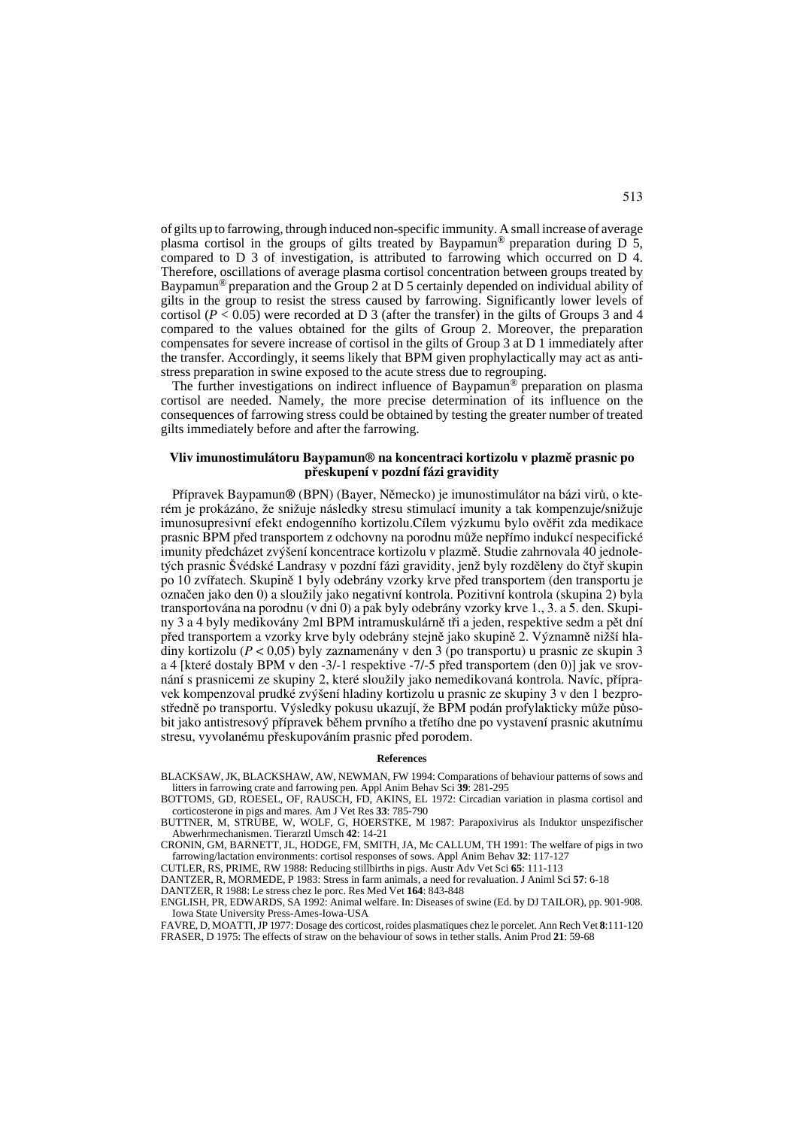of gilts up to farrowing, through induced non-specific immunity. A small increase of average plasma cortisol in the groups of gilts treated by Baypamun<sup>®</sup> preparation during  $D\bar{5}$ , compared to D 3 of investigation, is attributed to farrowing which occurred on D 4. Therefore, oscillations of average plasma cortisol concentration between groups treated by Baypamun® preparation and the Group 2 at D 5 certainly depended on individual ability of gilts in the group to resist the stress caused by farrowing. Significantly lower levels of cortisol ( $P < 0.05$ ) were recorded at D 3 (after the transfer) in the gilts of Groups 3 and 4 compared to the values obtained for the gilts of Group 2. Moreover, the preparation compensates for severe increase of cortisol in the gilts of Group 3 at D 1 immediately after the transfer. Accordingly, it seems likely that BPM given prophylactically may act as antistress preparation in swine exposed to the acute stress due to regrouping.

The further investigations on indirect influence of Baypamun® preparation on plasma cortisol are needed. Namely, the more precise determination of its influence on the consequences of farrowing stress could be obtained by testing the greater number of treated gilts immediately before and after the farrowing.

## **Vliv imunostimulátoru Baypamun® na koncentraci kortizolu v plazmû prasnic po pfieskupení v pozdní fázi gravidity**

Přípravek Baypamun® (BPN) (Bayer, Německo) je imunostimulátor na bázi virů, o kterém je prokázáno, že snižuje následky stresu stimulací imunity a tak kompenzuje/snižuje imunosupresivní efekt endogenního kortizolu.Cílem výzkumu bylo ověřit zda medikace prasnic BPM pfied transportem z odchovny na porodnu mÛÏe nepfiímo indukcí nespecifické imunity předcházet zvýšení koncentrace kortizolu v plazmě. Studie zahrnovala 40 jednoletých prasnic Švédské Landrasy v pozdní fázi gravidity, jenž byly rozděleny do čtyř skupin po 10 zvířatech. Skupině 1 byly odebrány vzorky krve před transportem (den transportu je označen jako den 0) a sloužily jako negativní kontrola. Pozitivní kontrola (skupina 2) byla transportována na porodnu (v dni 0) a pak byly odebrány vzorky krve 1., 3. a 5. den. Skupiny 3 a 4 byly medikovány 2ml BPM intramuskulárně tři a jeden, respektive sedm a pět dní před transportem a vzorky krve byly odebrány stejně jako skupině 2. Významně nižší hladiny kortizolu (*P* < 0,05) byly zaznamenány v den 3 (po transportu) u prasnic ze skupin 3 a 4 [které dostaly BPM v den -3/-1 respektive -7/-5 před transportem (den 0)] jak ve srovnání s prasnicemi ze skupiny 2, které sloužily jako nemedikovaná kontrola. Navíc, přípravek kompenzoval prudké zvýšení hladiny kortizolu u prasnic ze skupiny 3 v den 1 bezprostředně po transportu. Výsledky pokusu ukazují, že BPM podán profylakticky může působit jako antistresový přípravek během prvního a třetího dne po vystavení prasnic akutnímu stresu, vyvolanému přeskupováním prasnic před porodem.

## **References**

- BLACKSAW, JK, BLACKSHAW, AW, NEWMAN, FW 1994: Comparations of behaviour patterns of sows and litters in farrowing crate and farrowing pen. Appl Anim Behav Sci **39**: 281-295
- BOTTOMS, GD, ROESEL, OF, RAUSCH, FD, AKINS, EL 1972: Circadian variation in plasma cortisol and corticosterone in pigs and mares. Am J Vet Res **33**: 785-790
- BUTTNER, M, STRUBE, W, WOLF, G, HOERSTKE, M 1987: Parapoxivirus als Induktor unspezifischer Abwerhrmechanismen. Tierarztl Umsch **42**: 14-21
- CRONIN, GM, BARNETT, JL, HODGE, FM, SMITH, JA, Mc CALLUM, TH 1991: The welfare of pigs in two farrowing/lactation environments: cortisol responses of sows. Appl Anim Behav **32**: 117-127
- CUTLER, RS, PRIME, RW 1988: Reducing stillbirths in pigs. Austr Adv Vet Sci **65**: 111-113
- DANTZER, R, MORMEDE, P 1983: Stress in farm animals, a need for revaluation. J Animl Sci **57**: 6-18 DANTZER, R 1988: Le stress chez le porc. Res Med Vet **164**: 843-848
- ENGLISH, PR, EDWARDS, SA 1992: Animal welfare. In: Diseases of swine (Ed. by DJ TAILOR), pp. 901-908. Iowa State University Press-Ames-Iowa-USA
- FAVRE, D, MOATTI, JP 1977: Dosage des corticost, roides plasmatiques chez le porcelet. Ann Rech Vet **8**:111-120 FRASER, D 1975: The effects of straw on the behaviour of sows in tether stalls. Anim Prod **21**: 59-68